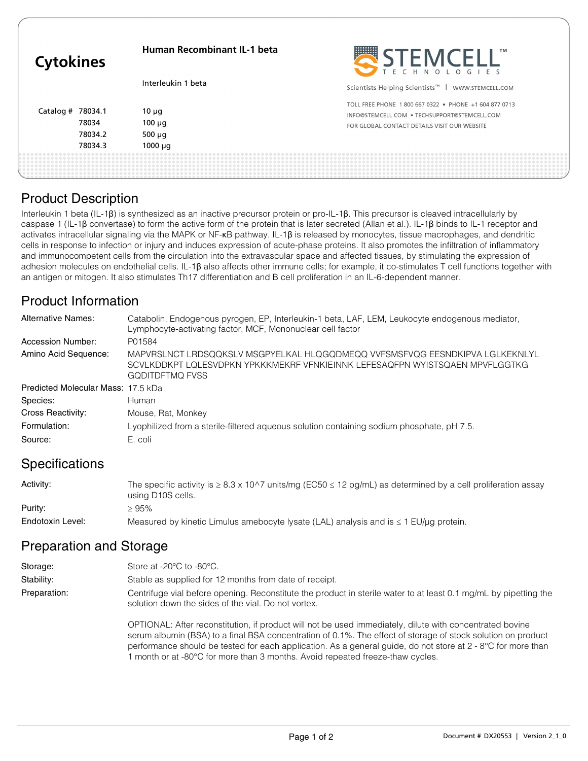| <b>Cytokines</b>  |         | <b>Human Recombinant IL-1 beta</b> | STEMCELL"                                                     |
|-------------------|---------|------------------------------------|---------------------------------------------------------------|
|                   |         | Interleukin 1 beta                 | Scientists Helping Scientists <sup>™</sup>   WWW.STEMCELL.COM |
| Catalog # 78034.1 |         |                                    | TOLL FREE PHONE 1800 667 0322 • PHONE +1 604 877 0713         |
|                   |         | $10 \mu g$                         | INFO@STEMCELL.COM • TECHSUPPORT@STEMCELL.COM                  |
|                   | 78034   | $100 \mu g$                        | FOR GLOBAL CONTACT DETAILS VISIT OUR WEBSITE                  |
|                   | 78034.2 | 500 $\mu$ g                        |                                                               |
|                   | 78034.3 | $1000 \mu g$                       |                                                               |
|                   |         |                                    |                                                               |

## Product Description

Interleukin 1 beta (IL-1β) is synthesized as an inactive precursor protein or pro-IL-1β. This precursor is cleaved intracellularly by caspase 1 (IL-1β convertase) to form the active form of the protein that is later secreted (Allan et al.). IL-1β binds to IL-1 receptor and activates intracellular signaling via the MAPK or NF-κB pathway. IL-1β is released by monocytes, tissue macrophages, and dendritic cells in response to infection or injury and induces expression of acute-phase proteins. It also promotes the infiltration of inflammatory and immunocompetent cells from the circulation into the extravascular space and affected tissues, by stimulating the expression of adhesion molecules on endothelial cells. IL-1β also affects other immune cells; for example, it co-stimulates T cell functions together with an antigen or mitogen. It also stimulates Th17 differentiation and B cell proliferation in an IL-6-dependent manner.

# Product Information

| Alternative Names:                 | Catabolin, Endogenous pyrogen, EP, Interleukin-1 beta, LAF, LEM, Leukocyte endogenous mediator,<br>Lymphocyte-activating factor, MCF, Mononuclear cell factor                          |
|------------------------------------|----------------------------------------------------------------------------------------------------------------------------------------------------------------------------------------|
| Accession Number:                  | P01584                                                                                                                                                                                 |
| Amino Acid Sequence:               | MAPVRSLNCT LRDSQQKSLV MSGPYELKAL HLQGQDMEQQ VVFSMSFVQG EESNDKIPVA LGLKEKNLYL<br>SCVLKDDKPT LQLESVDPKN YPKKKMEKRF VFNKIEINNK LEFESAQFPN WYISTSQAEN MPVFLGGTKG<br><b>GODITDFTMQ FVSS</b> |
| Predicted Molecular Mass: 17.5 kDa |                                                                                                                                                                                        |
| Species:                           | Human                                                                                                                                                                                  |
| Cross Reactivity:                  | Mouse, Rat, Monkey                                                                                                                                                                     |
| Formulation:                       | Lyophilized from a sterile-filtered agueous solution containing sodium phosphate, pH 7.5.                                                                                              |
| Source:                            | E. coli                                                                                                                                                                                |

## **Specifications**

| Activitv:        | The specific activity is $\geq 8.3 \times 10^{2}$ units/mg (EC50 $\leq 12$ pg/mL) as determined by a cell proliferation assay<br>using D10S cells. |
|------------------|----------------------------------------------------------------------------------------------------------------------------------------------------|
| Purity:          | ≥ 95%                                                                                                                                              |
| Endotoxin Level: | Measured by kinetic Limulus amebocyte lysate (LAL) analysis and is $\leq 1$ EU/µg protein.                                                         |

### Preparation and Storage

| Storage:     | Store at -20 $\degree$ C to -80 $\degree$ C.                                                                                                                            |  |
|--------------|-------------------------------------------------------------------------------------------------------------------------------------------------------------------------|--|
| Stability:   | Stable as supplied for 12 months from date of receipt.                                                                                                                  |  |
| Preparation: | Centrifuge vial before opening. Reconstitute the product in sterile water to at least 0.1 mg/mL by pipetting the<br>solution down the sides of the vial. Do not vortex. |  |
|              | $\Omega$ PTI $\Omega$ N $\Omega$ · After reconstitution if product will not be used immediately dilute with concentrated boying                                         |  |

OPTIONAL: After reconstitution, if product will not be used immediately, dilute with concentrated bovine serum albumin (BSA) to a final BSA concentration of 0.1%. The effect of storage of stock solution on product performance should be tested for each application. As a general guide, do not store at 2 - 8°C for more than 1 month or at -80°C for more than 3 months. Avoid repeated freeze-thaw cycles.